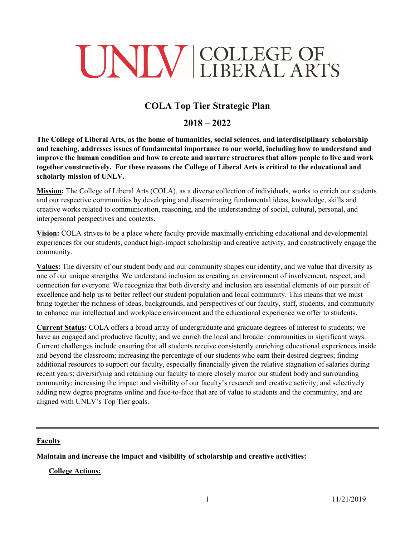# UNIV COLLEGE OF

# **COLA Top Tier Strategic Plan**

# **2018 – 2022**

**The College of Liberal Arts, as the home of humanities, social sciences, and interdisciplinary scholarship and teaching, addresses issues of fundamental importance to our world, including how to understand and improve the human condition and how to create and nurture structures that allow people to live and work together constructively. For these reasons the College of Liberal Arts is critical to the educational and scholarly mission of UNLV.** 

**Mission:** The College of Liberal Arts (COLA), as a diverse collection of individuals, works to enrich our students and our respective communities by developing and disseminating fundamental ideas, knowledge, skills and creative works related to communication, reasoning, and the understanding of social, cultural, personal, and interpersonal perspectives and contexts.

**Vision:** COLA strives to be a place where faculty provide maximally enriching educational and developmental experiences for our students, conduct high-impact scholarship and creative activity, and constructively engage the community.

**Values:** The diversity of our student body and our community shapes our identity, and we value that diversity as one of our unique strengths. We understand inclusion as creating an environment of involvement, respect, and connection for everyone. We recognize that both diversity and inclusion are essential elements of our pursuit of excellence and help us to better reflect our student population and local community. This means that we must bring together the richness of ideas, backgrounds, and perspectives of our faculty, staff, students, and community to enhance our intellectual and workplace environment and the educational experience we offer to students.

**Current Status:** COLA offers a broad array of undergraduate and graduate degrees of interest to students; we have an engaged and productive faculty; and we enrich the local and broader communities in significant ways. Current challenges include ensuring that all students receive consistently enriching educational experiences inside and beyond the classroom; increasing the percentage of our students who earn their desired degrees; finding additional resources to support our faculty, especially financially given the relative stagnation of salaries during recent years; diversifying and retaining our faculty to more closely mirror our student body and surrounding community; increasing the impact and visibility of our faculty's research and creative activity; and selectively adding new degree programs online and face-to-face that are of value to students and the community, and are aligned with UNLV's Top Tier goals.

# **Faculty**

**Maintain and increase the impact and visibility of scholarship and creative activities:**

**College Actions:**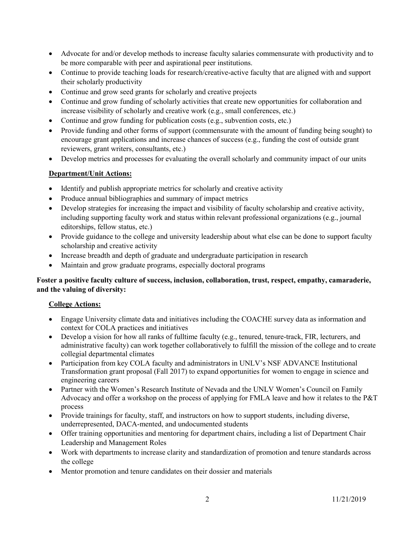- Advocate for and/or develop methods to increase faculty salaries commensurate with productivity and to be more comparable with peer and aspirational peer institutions.
- Continue to provide teaching loads for research/creative-active faculty that are aligned with and support their scholarly productivity
- Continue and grow seed grants for scholarly and creative projects
- Continue and grow funding of scholarly activities that create new opportunities for collaboration and increase visibility of scholarly and creative work (e.g., small conferences, etc.)
- Continue and grow funding for publication costs (e.g., subvention costs, etc.)
- Provide funding and other forms of support (commensurate with the amount of funding being sought) to encourage grant applications and increase chances of success (e.g., funding the cost of outside grant reviewers, grant writers, consultants, etc.)
- Develop metrics and processes for evaluating the overall scholarly and community impact of our units

#### **Department/Unit Actions:**

- Identify and publish appropriate metrics for scholarly and creative activity
- Produce annual bibliographies and summary of impact metrics
- Develop strategies for increasing the impact and visibility of faculty scholarship and creative activity, including supporting faculty work and status within relevant professional organizations (e.g., journal editorships, fellow status, etc.)
- Provide guidance to the college and university leadership about what else can be done to support faculty scholarship and creative activity
- Increase breadth and depth of graduate and undergraduate participation in research
- Maintain and grow graduate programs, especially doctoral programs

# **Foster a positive faculty culture of success, inclusion, collaboration, trust, respect, empathy, camaraderie, and the valuing of diversity:**

#### **College Actions:**

- Engage University climate data and initiatives including the COACHE survey data as information and context for COLA practices and initiatives
- Develop a vision for how all ranks of fulltime faculty (e.g., tenured, tenure-track, FIR, lecturers, and administrative faculty) can work together collaboratively to fulfill the mission of the college and to create collegial departmental climates
- Participation from key COLA faculty and administrators in UNLV's NSF ADVANCE Institutional Transformation grant proposal (Fall 2017) to expand opportunities for women to engage in science and engineering careers
- Partner with the Women's Research Institute of Nevada and the UNLV Women's Council on Family Advocacy and offer a workshop on the process of applying for FMLA leave and how it relates to the P&T process
- Provide trainings for faculty, staff, and instructors on how to support students, including diverse, underrepresented, DACA-mented, and undocumented students
- Offer training opportunities and mentoring for department chairs, including a list of Department Chair Leadership and Management Roles
- Work with departments to increase clarity and standardization of promotion and tenure standards across the college
- Mentor promotion and tenure candidates on their dossier and materials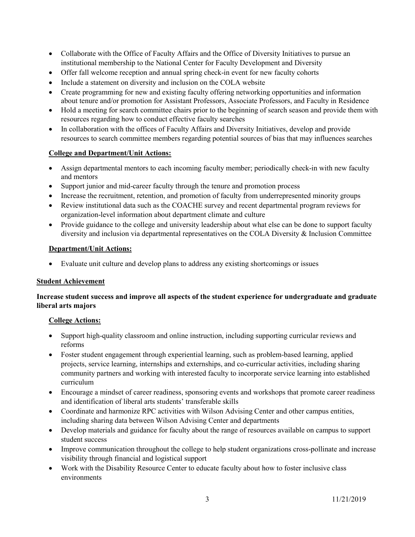- Collaborate with the Office of Faculty Affairs and the Office of Diversity Initiatives to pursue an institutional membership to the National Center for Faculty Development and Diversity
- Offer fall welcome reception and annual spring check-in event for new faculty cohorts
- Include a statement on diversity and inclusion on the COLA website
- Create programming for new and existing faculty offering networking opportunities and information about tenure and/or promotion for Assistant Professors, Associate Professors, and Faculty in Residence
- Hold a meeting for search committee chairs prior to the beginning of search season and provide them with resources regarding how to conduct effective faculty searches
- In collaboration with the offices of Faculty Affairs and Diversity Initiatives, develop and provide resources to search committee members regarding potential sources of bias that may influences searches

# **College and Department/Unit Actions:**

- Assign departmental mentors to each incoming faculty member; periodically check-in with new faculty and mentors
- Support junior and mid-career faculty through the tenure and promotion process
- Increase the recruitment, retention, and promotion of faculty from underrepresented minority groups
- Review institutional data such as the COACHE survey and recent departmental program reviews for organization-level information about department climate and culture
- Provide guidance to the college and university leadership about what else can be done to support faculty diversity and inclusion via departmental representatives on the COLA Diversity & Inclusion Committee

#### **Department/Unit Actions:**

• Evaluate unit culture and develop plans to address any existing shortcomings or issues

#### **Student Achievement**

# **Increase student success and improve all aspects of the student experience for undergraduate and graduate liberal arts majors**

# **College Actions:**

- Support high-quality classroom and online instruction, including supporting curricular reviews and reforms
- Foster student engagement through experiential learning, such as problem-based learning, applied projects, service learning, internships and externships, and co-curricular activities, including sharing community partners and working with interested faculty to incorporate service learning into established curriculum
- Encourage a mindset of career readiness, sponsoring events and workshops that promote career readiness and identification of liberal arts students' transferable skills
- Coordinate and harmonize RPC activities with Wilson Advising Center and other campus entities, including sharing data between Wilson Advising Center and departments
- Develop materials and guidance for faculty about the range of resources available on campus to support student success
- Improve communication throughout the college to help student organizations cross-pollinate and increase visibility through financial and logistical support
- Work with the Disability Resource Center to educate faculty about how to foster inclusive class environments